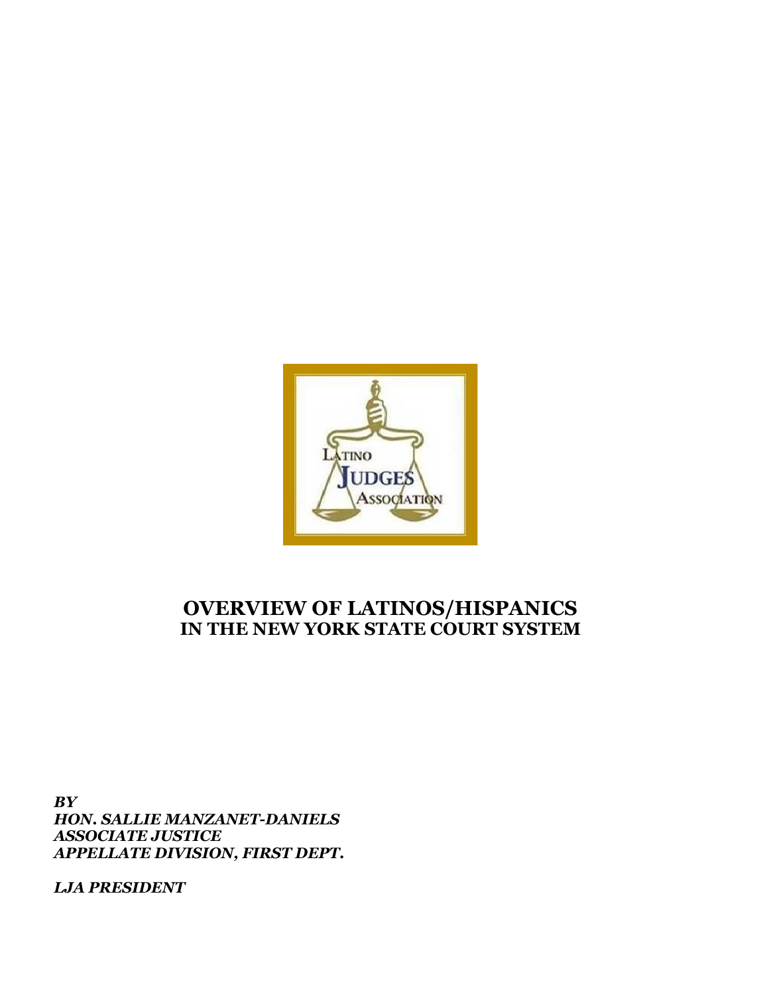

# **OVERVIEW OF LATINOS/HISPANICS IN THE NEW YORK STATE COURT SYSTEM**

*BY HON. SALLIE MANZANET-DANIELS ASSOCIATE JUSTICE APPELLATE DIVISION, FIRST DEPT.*

*LJA PRESIDENT*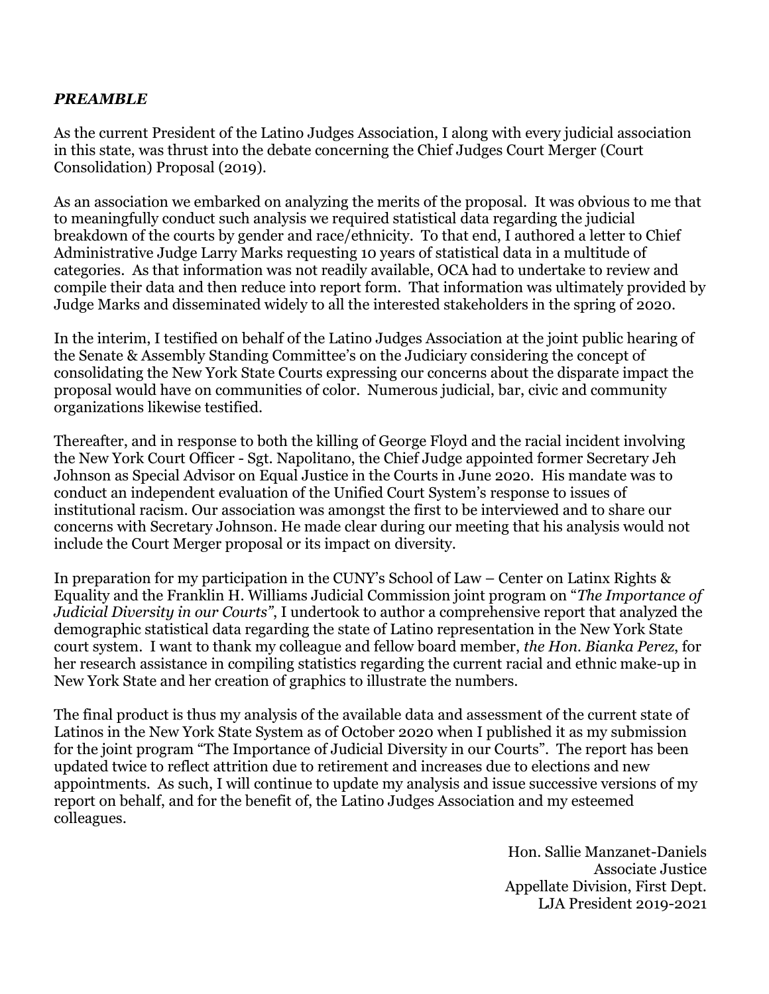### *PREAMBLE*

As the current President of the Latino Judges Association, I along with every judicial association in this state, was thrust into the debate concerning the Chief Judges Court Merger (Court Consolidation) Proposal (2019).

As an association we embarked on analyzing the merits of the proposal. It was obvious to me that to meaningfully conduct such analysis we required statistical data regarding the judicial breakdown of the courts by gender and race/ethnicity. To that end, I authored a letter to Chief Administrative Judge Larry Marks requesting 10 years of statistical data in a multitude of categories. As that information was not readily available, OCA had to undertake to review and compile their data and then reduce into report form. That information was ultimately provided by Judge Marks and disseminated widely to all the interested stakeholders in the spring of 2020.

In the interim, I testified on behalf of the Latino Judges Association at the joint public hearing of the Senate & Assembly Standing Committee's on the Judiciary considering the concept of consolidating the New York State Courts expressing our concerns about the disparate impact the proposal would have on communities of color. Numerous judicial, bar, civic and community organizations likewise testified.

Thereafter, and in response to both the killing of George Floyd and the racial incident involving the New York Court Officer - Sgt. Napolitano, the Chief Judge appointed former Secretary Jeh Johnson as Special Advisor on Equal Justice in the Courts in June 2020. His mandate was to conduct an independent evaluation of the Unified Court System's response to issues of institutional racism. Our association was amongst the first to be interviewed and to share our concerns with Secretary Johnson. He made clear during our meeting that his analysis would not include the Court Merger proposal or its impact on diversity.

In preparation for my participation in the CUNY's School of Law – Center on Latinx Rights & Equality and the Franklin H. Williams Judicial Commission joint program on "*The Importance of Judicial Diversity in our Courts"*, I undertook to author a comprehensive report that analyzed the demographic statistical data regarding the state of Latino representation in the New York State court system. I want to thank my colleague and fellow board member, *the Hon. Bianka Perez*, for her research assistance in compiling statistics regarding the current racial and ethnic make-up in New York State and her creation of graphics to illustrate the numbers.

The final product is thus my analysis of the available data and assessment of the current state of Latinos in the New York State System as of October 2020 when I published it as my submission for the joint program "The Importance of Judicial Diversity in our Courts". The report has been updated twice to reflect attrition due to retirement and increases due to elections and new appointments. As such, I will continue to update my analysis and issue successive versions of my report on behalf, and for the benefit of, the Latino Judges Association and my esteemed colleagues.

> Hon. Sallie Manzanet-Daniels Associate Justice Appellate Division, First Dept. LJA President 2019-2021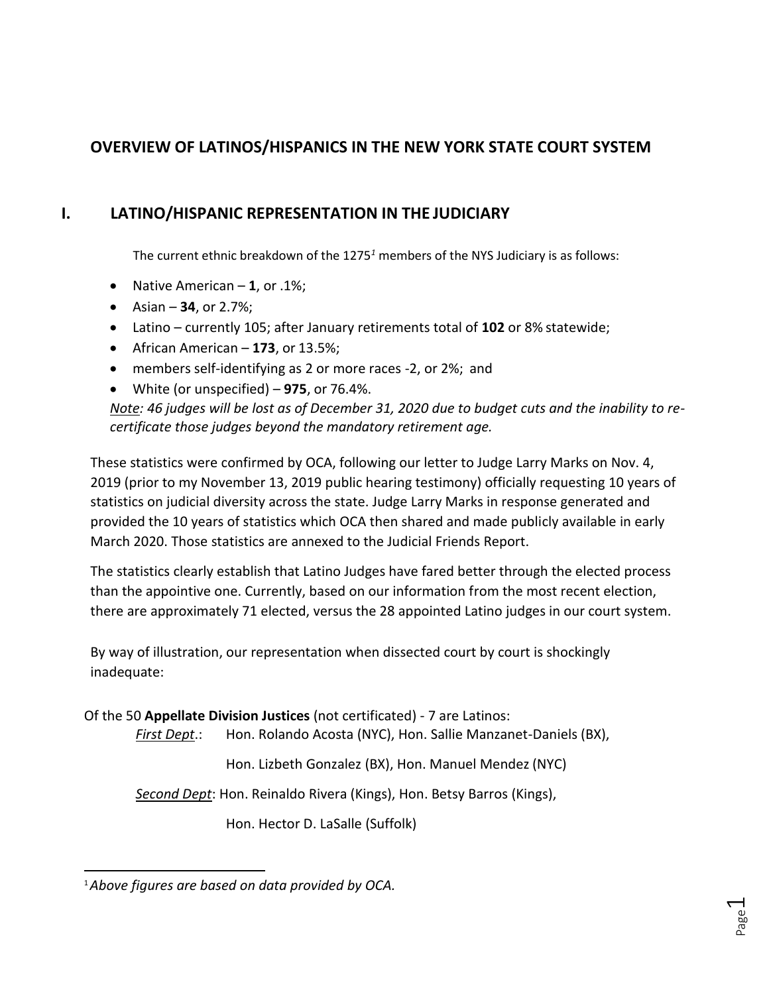## **OVERVIEW OF LATINOS/HISPANICS IN THE NEW YORK STATE COURT SYSTEM**

## **I. LATINO/HISPANIC REPRESENTATION IN THE JUDICIARY**

The current ethnic breakdown of the 1275*<sup>1</sup>* members of the NYS Judiciary is as follows:

- Native American **1**, or .1%;
- Asian **34**, or 2.7%;
- Latino currently 105; after January retirements total of **102** or 8% statewide;
- African American **173**, or 13.5%;
- members self-identifying as 2 or more races -2, or 2%; and
- White (or unspecified) **975**, or 76.4%.

*Note: 46 judges will be lost as of December 31, 2020 due to budget cuts and the inability to recertificate those judges beyond the mandatory retirement age.*

These statistics were confirmed by OCA, following our letter to Judge Larry Marks on Nov. 4, 2019 (prior to my November 13, 2019 public hearing testimony) officially requesting 10 years of statistics on judicial diversity across the state. Judge Larry Marks in response generated and provided the 10 years of statistics which OCA then shared and made publicly available in early March 2020. Those statistics are annexed to the Judicial Friends Report.

The statistics clearly establish that Latino Judges have fared better through the elected process than the appointive one. Currently, based on our information from the most recent election, there are approximately 71 elected, versus the 28 appointed Latino judges in our court system.

By way of illustration, our representation when dissected court by court is shockingly inadequate:

Of the 50 **Appellate Division Justices** (not certificated) - 7 are Latinos:

*First Dept*.: Hon. Rolando Acosta (NYC), Hon. Sallie Manzanet-Daniels (BX),

Hon. Lizbeth Gonzalez (BX), Hon. Manuel Mendez(NYC)

*Second Dept*: Hon. Reinaldo Rivera (Kings), Hon. Betsy Barros (Kings),

Hon. Hector D. LaSalle (Suffolk)

<sup>1</sup>*Above figures are based on data provided by OCA.*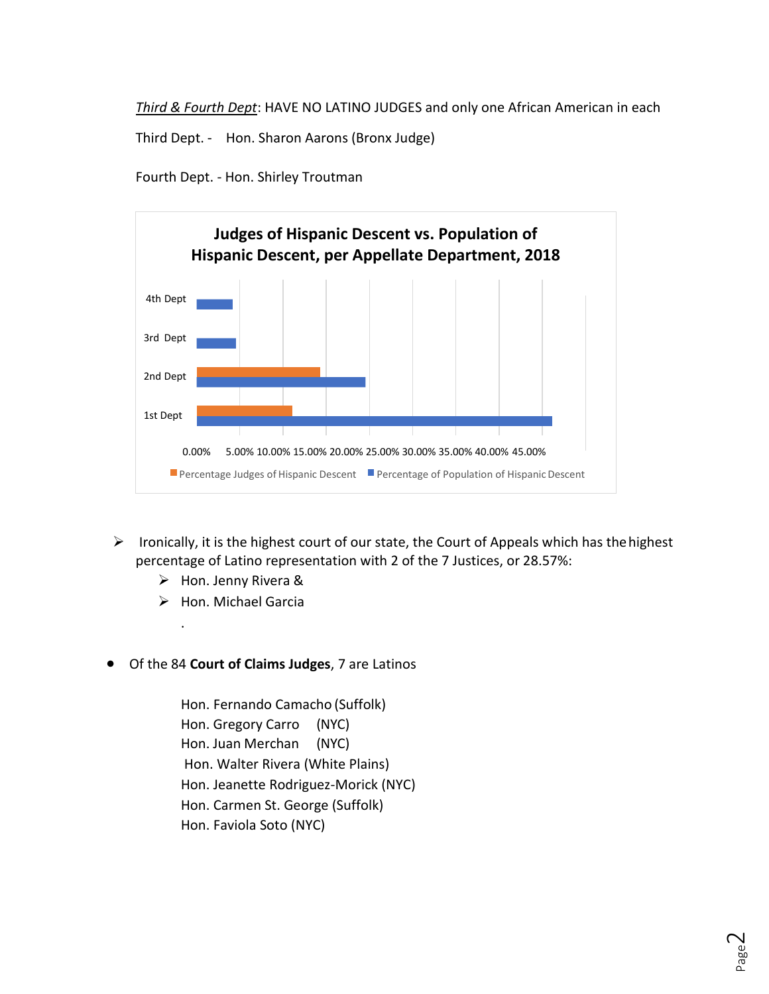*Third & Fourth Dept*: HAVE NO LATINO JUDGES and only one African American in each

Third Dept. - Hon. Sharon Aarons (Bronx Judge)

Fourth Dept. - Hon. Shirley Troutman



- $\triangleright$  Ironically, it is the highest court of our state, the Court of Appeals which has the highest percentage of Latino representation with 2 of the 7 Justices, or 28.57%:
	- ➢ Hon. Jenny Rivera &
	- ➢ Hon. Michael Garcia

.

• Of the 84 **Court of Claims Judges**, 7 are Latinos

Hon. Fernando Camacho (Suffolk) Hon. Gregory Carro (NYC) Hon. Juan Merchan (NYC) Hon. Walter Rivera (White Plains) Hon. Jeanette Rodriguez-Morick (NYC) Hon. Carmen St. George (Suffolk) Hon. Faviola Soto (NYC)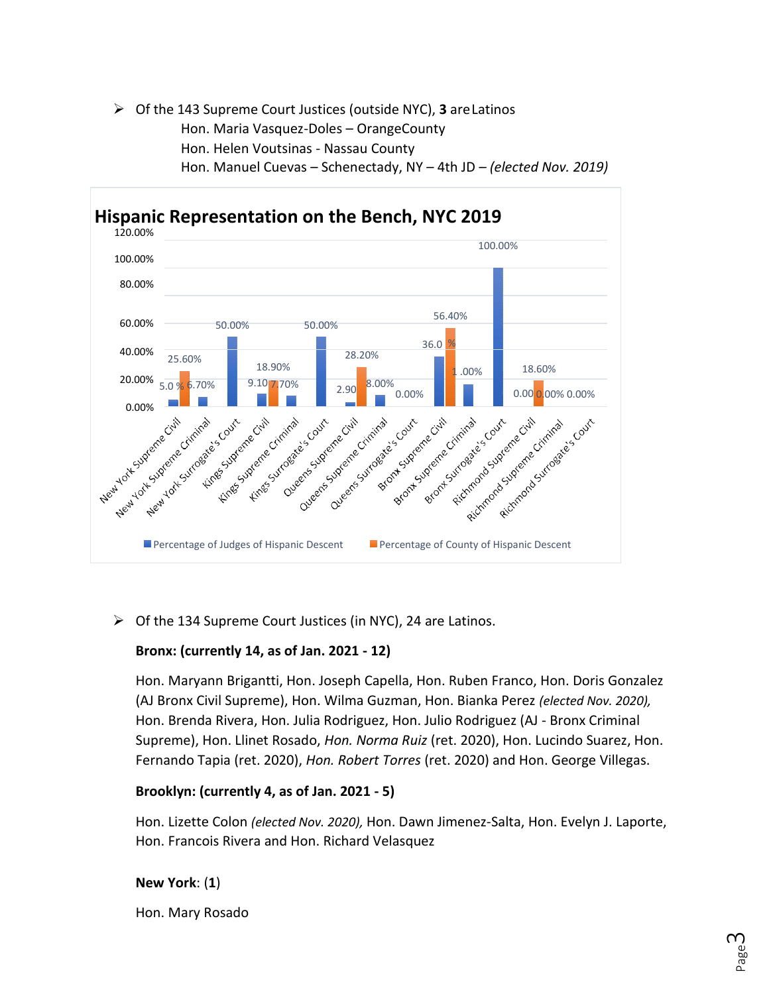### ➢ Of the 143 Supreme Court Justices (outside NYC), **3** areLatinos Hon. Maria Vasquez-Doles – OrangeCounty Hon. Helen Voutsinas - Nassau County Hon. Manuel Cuevas – Schenectady, NY – 4th JD *– (elected Nov. 2019)*



➢ Of the 134 Supreme Court Justices (in NYC), 24 are Latinos.

### **Bronx: (currently 14, as of Jan. 2021 - 12)**

Hon. Maryann Brigantti, Hon. Joseph Capella, Hon. Ruben Franco, Hon. Doris Gonzalez (AJ Bronx Civil Supreme), Hon. Wilma Guzman, Hon. Bianka Perez *(elected Nov. 2020),*  Hon. Brenda Rivera, Hon. Julia Rodriguez, Hon. Julio Rodriguez (AJ - Bronx Criminal Supreme), Hon. Llinet Rosado, *Hon. Norma Ruiz* (ret. 2020), Hon. Lucindo Suarez, Hon. Fernando Tapia (ret. 2020), *Hon. Robert Torres* (ret. 2020) and Hon. George Villegas.

### **Brooklyn: (currently 4, as of Jan. 2021 - 5)**

Hon. Lizette Colon *(elected Nov. 2020),* Hon. Dawn Jimenez-Salta, Hon. Evelyn J. Laporte, Hon. Francois Rivera and Hon. Richard Velasquez

**New York**: (**1**)

Hon. Mary Rosado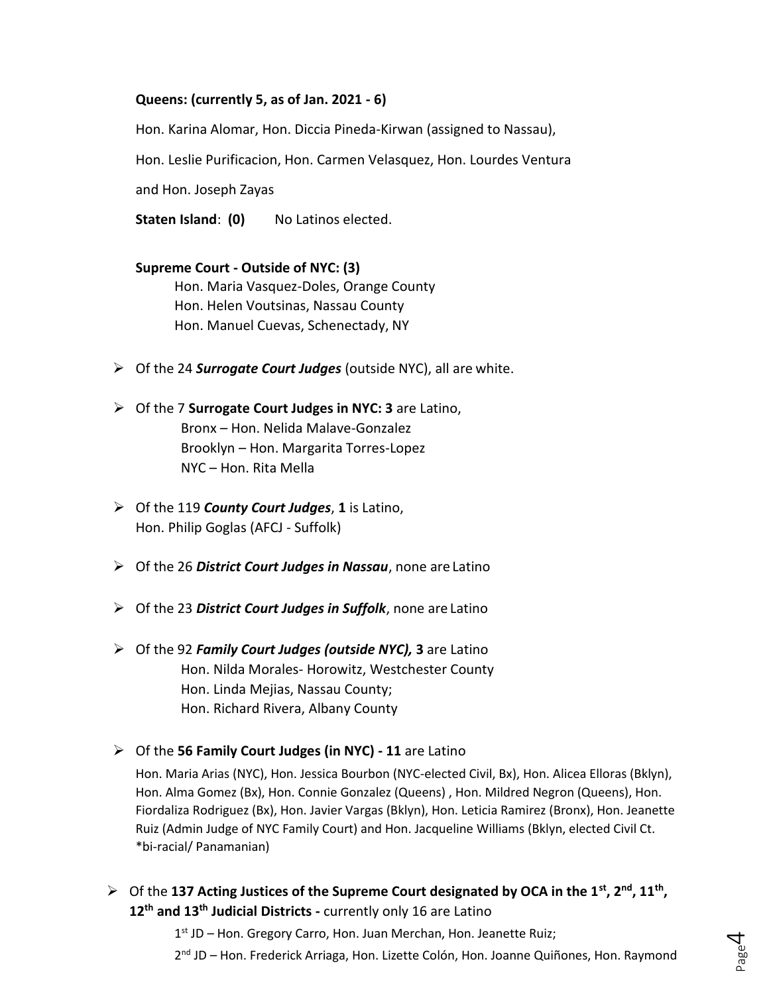#### **Queens: (currently 5, as of Jan. 2021 - 6)**

Hon. Karina Alomar, Hon. Diccia Pineda-Kirwan (assigned to Nassau),

Hon. Leslie Purificacion, Hon. Carmen Velasquez, Hon. Lourdes Ventura

and Hon. Joseph Zayas

**Staten Island**: **(0)** No Latinos elected.

### **Supreme Court - Outside of NYC: (3)** Hon. Maria Vasquez-Doles, Orange County Hon. Helen Voutsinas, Nassau County Hon. Manuel Cuevas, Schenectady, NY

- ➢ Of the 24 *Surrogate Court Judges* (outside NYC), all are white.
- ➢ Of the 7 **Surrogate Court Judges in NYC: 3** are Latino, Bronx – Hon. Nelida Malave-Gonzalez Brooklyn – Hon. Margarita Torres-Lopez NYC – Hon. Rita Mella
- ➢ Of the 119 *County Court Judges*, **1** is Latino, Hon. Philip Goglas (AFCJ - Suffolk)
- ➢ Of the 26 *District Court Judges in Nassau*, none are Latino
- ➢ Of the 23 *District Court Judges in Suffolk*, none are Latino
- ➢ Of the 92 *Family Court Judges (outside NYC),* **3** are Latino Hon. Nilda Morales- Horowitz, Westchester County Hon. Linda Mejias, Nassau County; Hon. Richard Rivera, Albany County
- ➢ Of the **56 Family Court Judges (in NYC) - 11** are Latino

Hon. Maria Arias (NYC), Hon. Jessica Bourbon (NYC-elected Civil, Bx), Hon. Alicea Elloras (Bklyn), Hon. Alma Gomez (Bx), Hon. Connie Gonzalez (Queens) , Hon. Mildred Negron (Queens), Hon. Fiordaliza Rodriguez (Bx), Hon. Javier Vargas (Bklyn), Hon. Leticia Ramirez (Bronx), Hon. Jeanette Ruiz (Admin Judge of NYC Family Court) and Hon. Jacqueline Williams (Bklyn, elected Civil Ct. \*bi-racial/ Panamanian)

➢ Of the **137 Acting Justices of the Supreme Court designated by OCA in the 1st, 2nd, 11th , 12th and 13th Judicial Districts -** currently only 16 are Latino

1<sup>st</sup> JD - Hon. Gregory Carro, Hon. Juan Merchan, Hon. Jeanette Ruiz;

2<sup>nd</sup> JD – Hon. Frederick Arriaga, Hon. Lizette Colón, Hon. Joanne Quiñones, Hon. Raymond

Page 4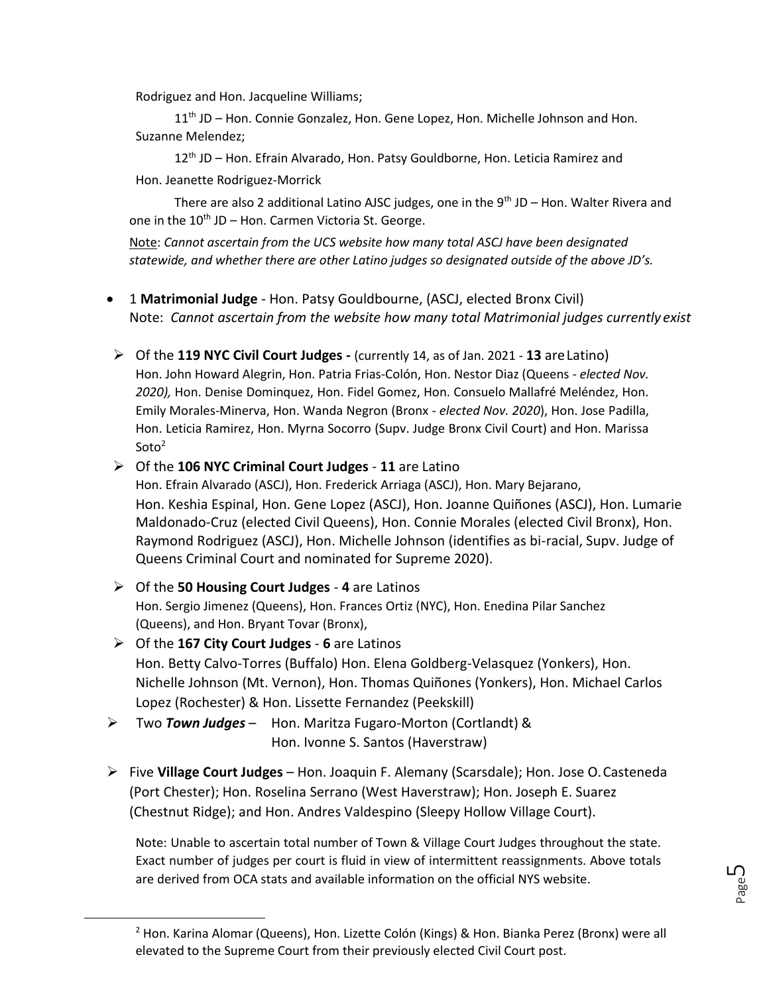Rodriguez and Hon. Jacqueline Williams;

11<sup>th</sup> JD – Hon. Connie Gonzalez, Hon. Gene Lopez, Hon. Michelle Johnson and Hon. Suzanne Melendez;

12<sup>th</sup> JD – Hon. Efrain Alvarado, Hon. Patsy Gouldborne, Hon. Leticia Ramirez and Hon. Jeanette Rodriguez-Morrick

There are also 2 additional Latino AJSC judges, one in the  $9<sup>th</sup>$  JD – Hon. Walter Rivera and one in the  $10^{th}$  JD – Hon. Carmen Victoria St. George.

Note: *Cannot ascertain from the UCS website how many total ASCJ have been designated statewide, and whether there are other Latino judges so designated outside of the above JD's.*

- 1 **Matrimonial Judge**  Hon. Patsy Gouldbourne, (ASCJ, elected Bronx Civil) Note: *Cannot ascertain from the website how many total Matrimonial judges currently exist*
- ➢ Of the **119 NYC Civil Court Judges -** (currently 14, as of Jan. 2021 **13** areLatino) Hon. John Howard Alegrin, Hon. Patria Frias-Colón, Hon. Nestor Diaz (Queens - *elected Nov. 2020),* Hon. Denise Dominquez, Hon. Fidel Gomez, Hon. Consuelo Mallafré Meléndez, Hon. Emily Morales-Minerva, Hon. Wanda Negron (Bronx - *elected Nov. 2020*), Hon. Jose Padilla, Hon. Leticia Ramirez, Hon. Myrna Socorro (Supv. Judge Bronx Civil Court) and Hon. Marissa  $Soto<sup>2</sup>$

### ➢ Of the **106 NYC Criminal Court Judges** - **11** are Latino

Hon. Efrain Alvarado (ASCJ), Hon. Frederick Arriaga (ASCJ), Hon. Mary Bejarano, Hon. Keshia Espinal, Hon. Gene Lopez (ASCJ), Hon. Joanne Quiñones (ASCJ), Hon. Lumarie Maldonado-Cruz (elected Civil Queens), Hon. Connie Morales (elected Civil Bronx), Hon. Raymond Rodriguez (ASCJ), Hon. Michelle Johnson (identifies as bi-racial, Supv. Judge of Queens Criminal Court and nominated for Supreme 2020).

- ➢ Of the **50 Housing Court Judges 4** are Latinos Hon. Sergio Jimenez (Queens), Hon. Frances Ortiz (NYC), Hon. Enedina Pilar Sanchez (Queens), and Hon. Bryant Tovar (Bronx),
- ➢ Of the **167 City Court Judges 6** are Latinos Hon. Betty Calvo-Torres (Buffalo) Hon. Elena Goldberg-Velasquez (Yonkers), Hon. Nichelle Johnson (Mt. Vernon), Hon. Thomas Quiñones (Yonkers), Hon. Michael Carlos Lopez (Rochester) & Hon. Lissette Fernandez (Peekskill)
- ➢ Two *Town Judges* Hon. Maritza Fugaro-Morton (Cortlandt) & Hon. Ivonne S. Santos (Haverstraw)
- ➢ Five **Village Court Judges**  Hon. Joaquin F. Alemany (Scarsdale); Hon. Jose O.Casteneda (Port Chester); Hon. Roselina Serrano (West Haverstraw); Hon. Joseph E. Suarez (Chestnut Ridge); and Hon. Andres Valdespino (Sleepy Hollow Village Court).

Note: Unable to ascertain total number of Town & Village Court Judges throughout the state. Exact number of judges per court is fluid in view of intermittent reassignments. Above totals are derived from OCA stats and available information on the official NYS website.

Page ഥ

 $2$  Hon. Karina Alomar (Queens), Hon. Lizette Colón (Kings) & Hon. Bianka Perez (Bronx) were all elevated to the Supreme Court from their previously elected Civil Court post.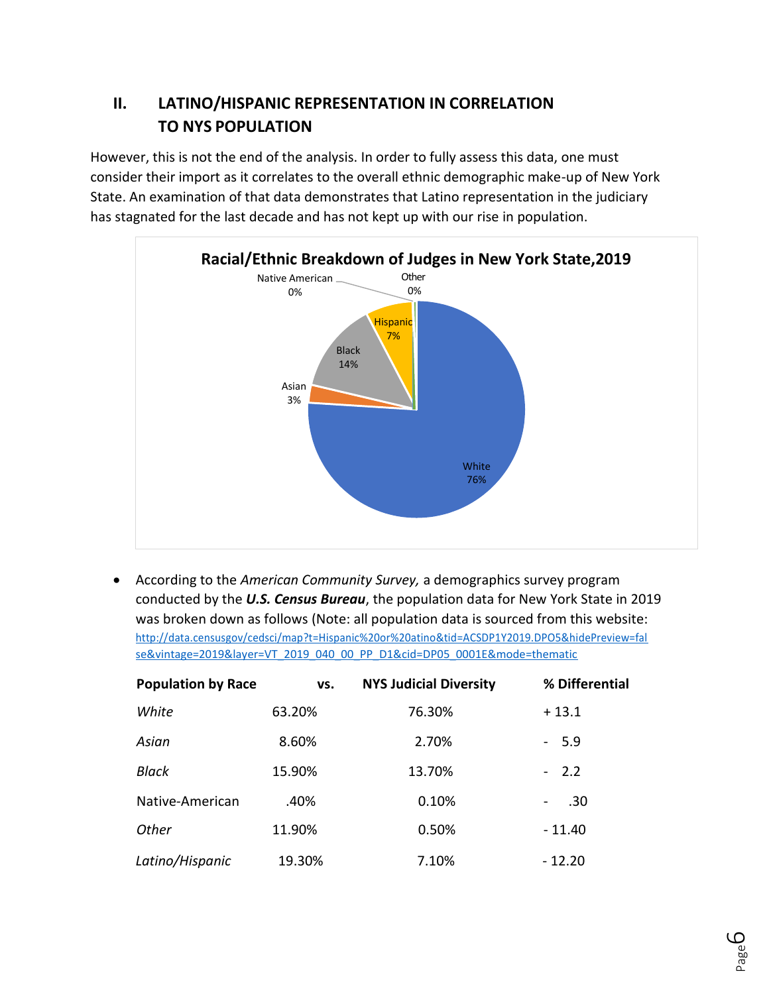## **II. LATINO/HISPANIC REPRESENTATION IN CORRELATION TO NYS POPULATION**

However, this is not the end of the analysis. In order to fully assess this data, one must consider their import as it correlates to the overall ethnic demographic make-up of New York State. An examination of that data demonstrates that Latino representation in the judiciary has stagnated for the last decade and has not kept up with our rise in population.



• According to the *American Community Survey,* a demographics survey program conducted by the *U.S. Census Bureau*, the population data for New York State in 2019 was broken down as follows (Note: all population data is sourced from this website: [http://data.censusgov/cedsci/map?t=Hispanic%20or%20atino&tid=ACSDP1Y2019.DPO5&hidePreview=fal](http://data.censusgov/cedsci/map?t=Hispanic%20or%20atino&tid=ACSDP1Y2019.DPO5&hidePreview=false&vintage=2019&layer=VT_2019_040_00_PP_D1&cid=DP05_0001E&mode=thematic) [se&vintage=2019&layer=VT\\_2019\\_040\\_00\\_PP\\_D1&cid=DP05\\_0001E&mode=thematic](http://data.censusgov/cedsci/map?t=Hispanic%20or%20atino&tid=ACSDP1Y2019.DPO5&hidePreview=false&vintage=2019&layer=VT_2019_040_00_PP_D1&cid=DP05_0001E&mode=thematic)

| <b>Population by Race</b> | VS.    | <b>NYS Judicial Diversity</b> | % Differential |
|---------------------------|--------|-------------------------------|----------------|
| White                     | 63.20% | 76.30%                        | $+13.1$        |
| Asian                     | 8.60%  | 2.70%                         | $-5.9$         |
| Black                     | 15.90% | 13.70%                        | $-2.2$         |
| Native-American           | .40%   | 0.10%                         | .30<br>-       |
| Other                     | 11.90% | 0.50%                         | $-11.40$       |
| Latino/Hispanic           | 19.30% | 7.10%                         | $-12.20$       |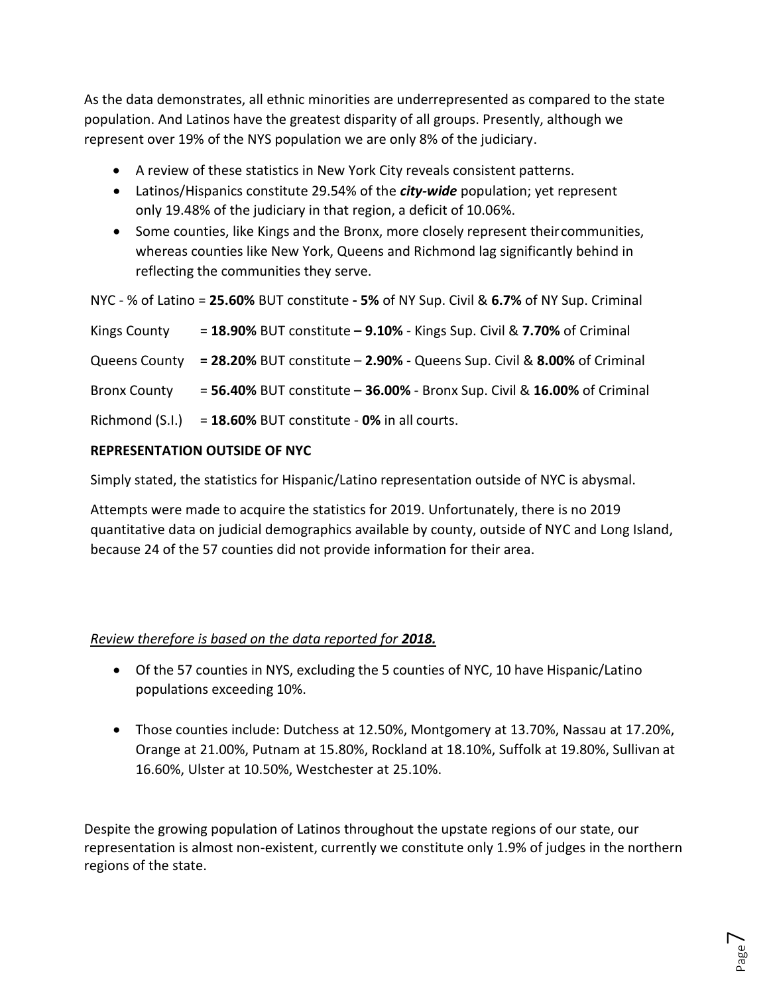As the data demonstrates, all ethnic minorities are underrepresented as compared to the state population. And Latinos have the greatest disparity of all groups. Presently, although we represent over 19% of the NYS population we are only 8% of the judiciary.

- A review of these statistics in New York City reveals consistent patterns.
- Latinos/Hispanics constitute 29.54% of the *city-wide* population; yet represent only 19.48% of the judiciary in that region, a deficit of 10.06%.
- Some counties, like Kings and the Bronx, more closely represent theircommunities, whereas counties like New York, Queens and Richmond lag significantly behind in reflecting the communities they serve.

```
NYC - % of Latino = 25.60% BUT constitute - 5% of NY Sup. Civil & 6.7% of NY Sup. Criminal
```

| Kings County        | $=$ 18.90% BUT constitute $-$ 9.10% - Kings Sup. Civil & 7.70% of Criminal            |
|---------------------|---------------------------------------------------------------------------------------|
|                     | Queens County = 28.20% BUT constitute - 2.90% - Queens Sup. Civil & 8.00% of Criminal |
| <b>Bronx County</b> | = 56.40% BUT constitute - 36.00% - Bronx Sup. Civil & 16.00% of Criminal              |
|                     | Richmond $(S.I.) = 18.60\%$ BUT constitute - 0% in all courts.                        |

### **REPRESENTATION OUTSIDE OF NYC**

Simply stated, the statistics for Hispanic/Latino representation outside of NYC is abysmal.

Attempts were made to acquire the statistics for 2019. Unfortunately, there is no 2019 quantitative data on judicial demographics available by county, outside of NYC and Long Island, because 24 of the 57 counties did not provide information for their area.

### *Review therefore is based on the data reported for 2018.*

- Of the 57 counties in NYS, excluding the 5 counties of NYC, 10 have Hispanic/Latino populations exceeding 10%.
- Those counties include: Dutchess at 12.50%, Montgomery at 13.70%, Nassau at 17.20%, Orange at 21.00%, Putnam at 15.80%, Rockland at 18.10%, Suffolk at 19.80%, Sullivan at 16.60%, Ulster at 10.50%, Westchester at 25.10%.

Despite the growing population of Latinos throughout the upstate regions of our state, our representation is almost non-existent, currently we constitute only 1.9% of judges in the northern regions of the state.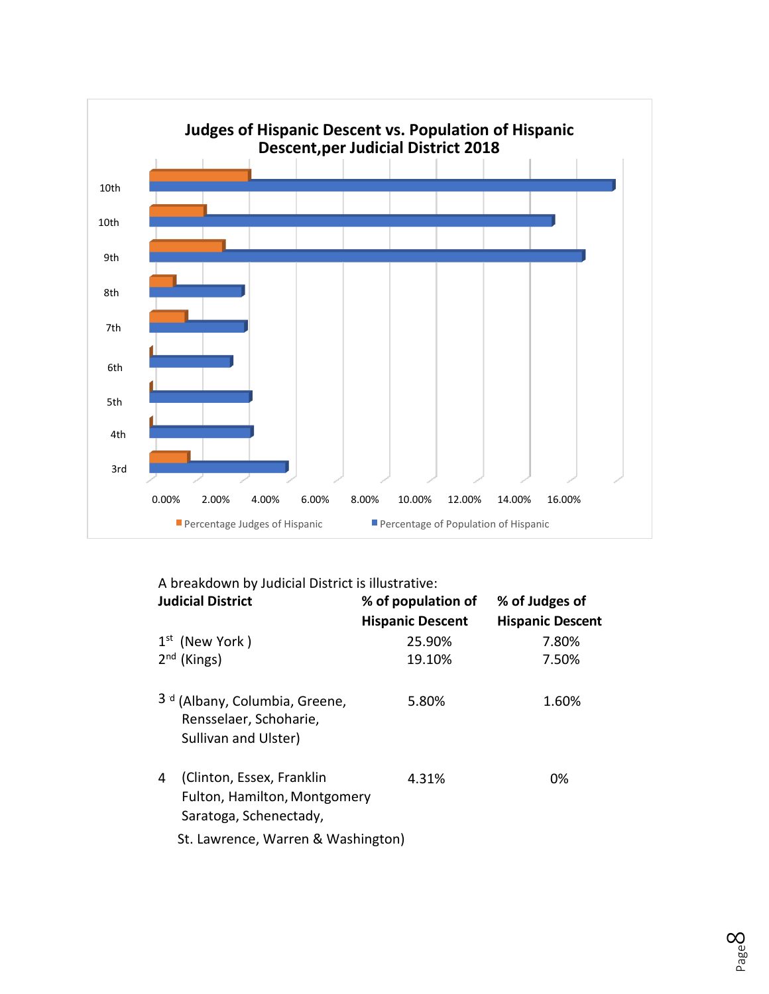

|  | A breakdown by Judicial District is illustrative: |  |  |  |  |
|--|---------------------------------------------------|--|--|--|--|
|--|---------------------------------------------------|--|--|--|--|

| <b>Judicial District</b>                                                                    | % of population of      | % of Judges of          |
|---------------------------------------------------------------------------------------------|-------------------------|-------------------------|
|                                                                                             | <b>Hispanic Descent</b> | <b>Hispanic Descent</b> |
| $1st$ (New York)                                                                            | 25.90%                  | 7.80%                   |
| $2nd$ (Kings)                                                                               | 19.10%                  | 7.50%                   |
| 3 <sup>d</sup> (Albany, Columbia, Greene,<br>Rensselaer, Schoharie,<br>Sullivan and Ulster) | 5.80%                   | 1.60%                   |
| (Clinton, Essex, Franklin<br>4<br>Fulton, Hamilton, Montgomery<br>Saratoga, Schenectady,    | 4.31%                   | 0%                      |
| St. Lawrence, Warren & Washington)                                                          |                         |                         |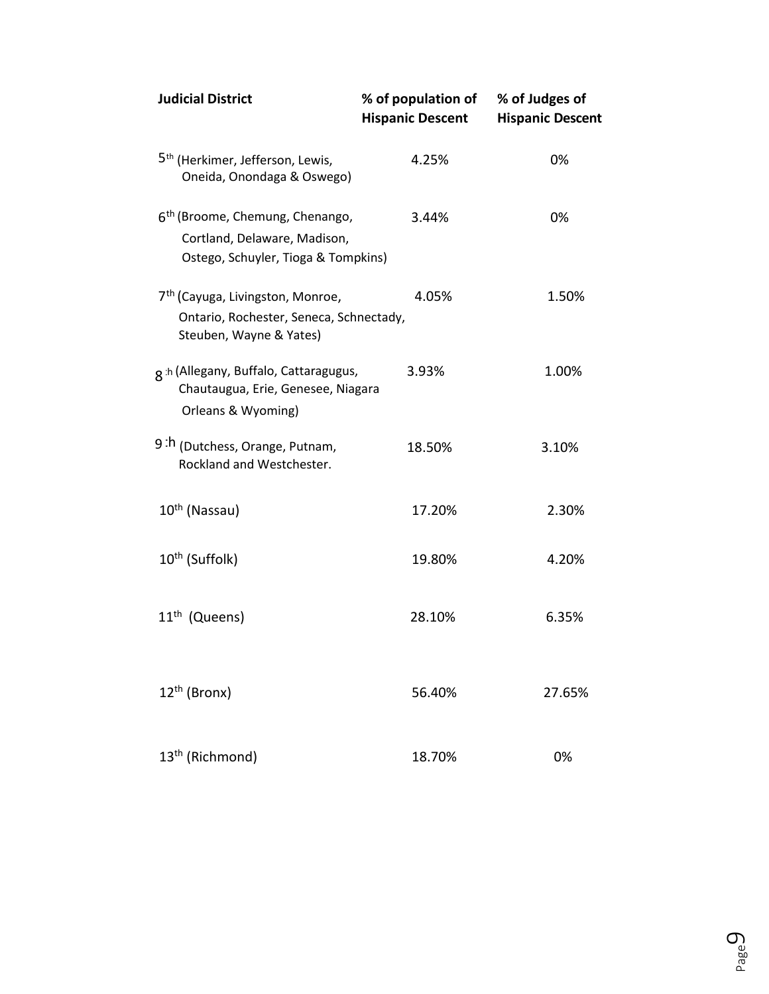| <b>Judicial District</b>                                                                                           | % of population of<br><b>Hispanic Descent</b> | % of Judges of<br><b>Hispanic Descent</b> |
|--------------------------------------------------------------------------------------------------------------------|-----------------------------------------------|-------------------------------------------|
| 5 <sup>th</sup> (Herkimer, Jefferson, Lewis,<br>Oneida, Onondaga & Oswego)                                         | 4.25%                                         | 0%                                        |
| 6 <sup>th</sup> (Broome, Chemung, Chenango,<br>Cortland, Delaware, Madison,<br>Ostego, Schuyler, Tioga & Tompkins) | 3.44%                                         | 0%                                        |
| 7 <sup>th</sup> (Cayuga, Livingston, Monroe,<br>Ontario, Rochester, Seneca, Schnectady,<br>Steuben, Wayne & Yates) | 4.05%                                         | 1.50%                                     |
| g h (Allegany, Buffalo, Cattaragugus,<br>Chautaugua, Erie, Genesee, Niagara<br>Orleans & Wyoming)                  | 3.93%                                         | 1.00%                                     |
| 9 <sup>th</sup> (Dutchess, Orange, Putnam,<br>Rockland and Westchester.                                            | 18.50%                                        | 3.10%                                     |
| 10 <sup>th</sup> (Nassau)                                                                                          | 17.20%                                        | 2.30%                                     |
| 10 <sup>th</sup> (Suffolk)                                                                                         | 19.80%                                        | 4.20%                                     |
| 11 <sup>th</sup> (Queens)                                                                                          | 28.10%                                        | 6.35%                                     |
| 12 <sup>th</sup> (Bronx)                                                                                           | 56.40%                                        | 27.65%                                    |
| 13 <sup>th</sup> (Richmond)                                                                                        | 18.70%                                        | 0%                                        |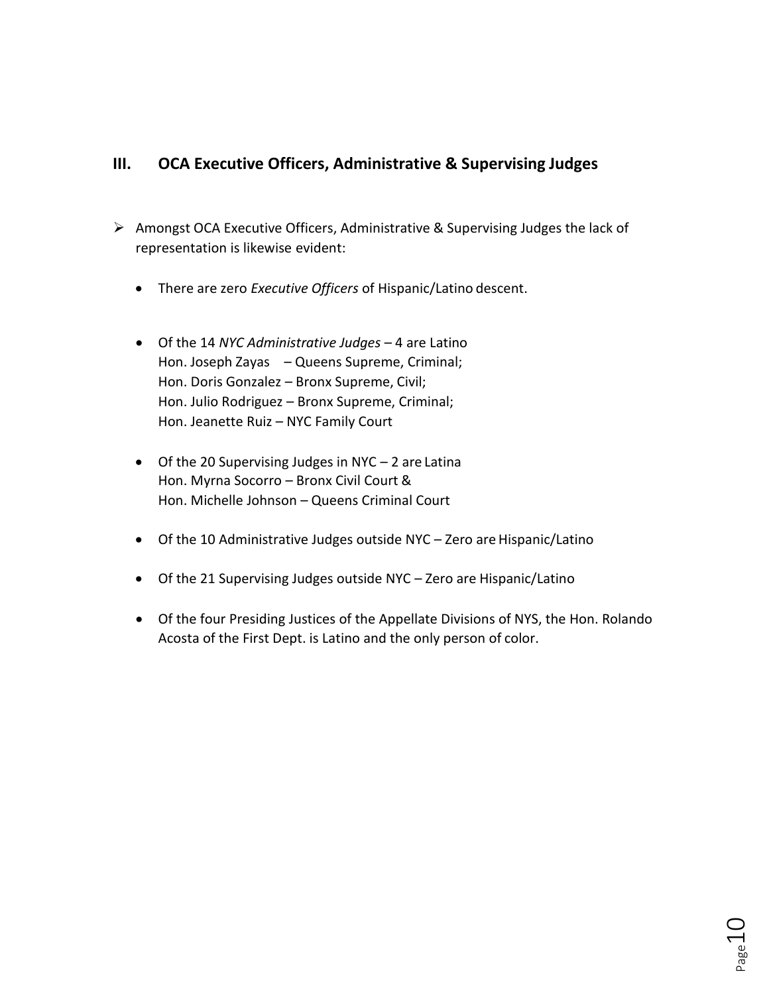### **III. OCA Executive Officers, Administrative & Supervising Judges**

- ➢ Amongst OCA Executive Officers, Administrative & Supervising Judges the lack of representation is likewise evident:
	- There are zero *Executive Officers* of Hispanic/Latino descent.
	- Of the 14 *NYC Administrative Judges*  4 are Latino Hon. Joseph Zayas – Queens Supreme, Criminal; Hon. Doris Gonzalez – Bronx Supreme, Civil; Hon. Julio Rodriguez – Bronx Supreme, Criminal; Hon. Jeanette Ruiz – NYC Family Court
	- Of the 20 Supervising Judges in NYC 2 are Latina Hon. Myrna Socorro – Bronx Civil Court & Hon. Michelle Johnson – Queens Criminal Court
	- Of the 10 Administrative Judges outside NYC Zero are Hispanic/Latino
	- Of the 21 Supervising Judges outside NYC Zero are Hispanic/Latino
	- Of the four Presiding Justices of the Appellate Divisions of NYS, the Hon. Rolando Acosta of the First Dept. is Latino and the only person of color.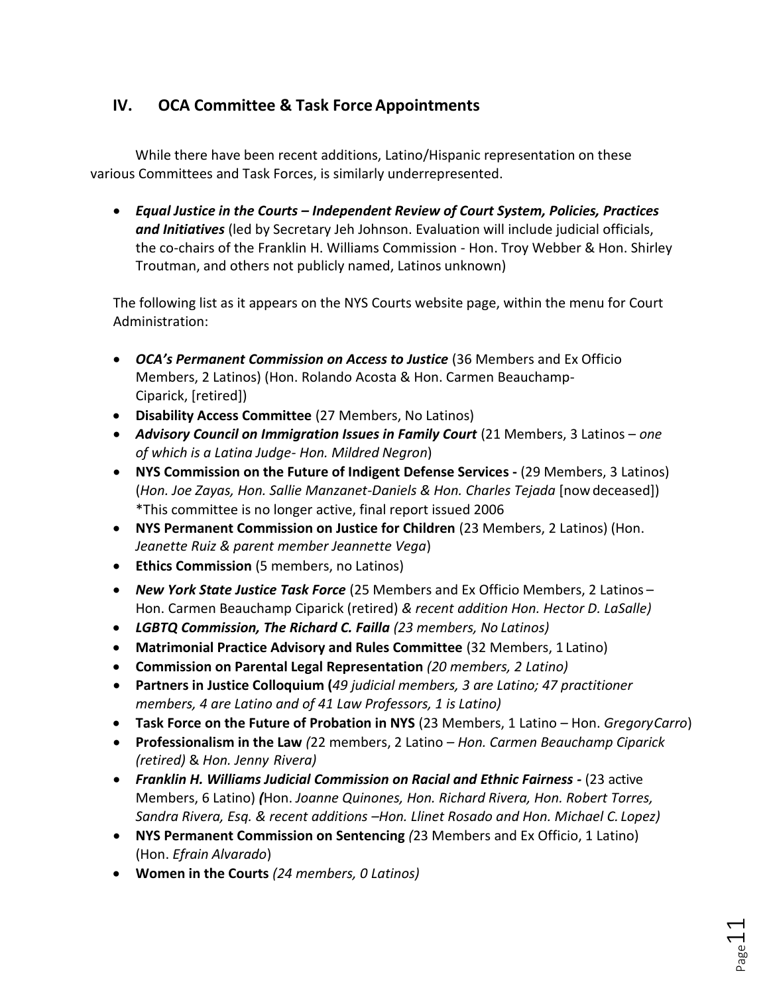## **IV. OCA Committee & Task ForceAppointments**

While there have been recent additions, Latino/Hispanic representation on these various Committees and Task Forces, is similarly underrepresented.

• *Equal Justice in the Courts – Independent Review of Court System, Policies, Practices and Initiatives* (led by Secretary Jeh Johnson. Evaluation will include judicial officials, the co-chairs of the Franklin H. Williams Commission - Hon. Troy Webber & Hon. Shirley Troutman, and others not publicly named, Latinos unknown)

The following list as it appears on the NYS Courts website page, within the menu for Court Administration:

- *OCA's Permanent Commission on Access to Justice* (36 Members and Ex Officio Members, 2 Latinos) (Hon. Rolando Acosta & Hon. Carmen Beauchamp-Ciparick, [retired])
- **Disability Access Committee** (27 Members, No Latinos)
- *Advisory Council on Immigration Issues in Family Court* (21 Members, 3 Latinos *one of which is a Latina Judge- Hon. Mildred Negron*)
- **NYS Commission on the Future of Indigent Defense Services -** (29 Members, 3 Latinos) (*Hon. Joe Zayas, Hon. Sallie Manzanet-Daniels & Hon. Charles Tejada* [nowdeceased]) \*This committee is no longer active, final report issued 2006
- **NYS Permanent Commission on Justice for Children** (23 Members, 2 Latinos) (Hon. *Jeanette Ruiz & parent member Jeannette Vega*)
- **Ethics Commission** (5 members, no Latinos)
- *New York State Justice Task Force* (25 Members and Ex Officio Members, 2 Latinos Hon. Carmen Beauchamp Ciparick (retired) *& recent addition Hon. Hector D. LaSalle)*
- *LGBTQ Commission, The Richard C. Failla (23 members, No Latinos)*
- **Matrimonial Practice Advisory and Rules Committee** (32 Members, 1 Latino)
- **Commission on Parental Legal Representation** *(20 members, 2 Latino)*
- **Partners in Justice Colloquium (***49 judicial members, 3 are Latino; 47 practitioner members, 4 are Latino and of 41 Law Professors, 1 is Latino)*
- **Task Force on the Future of Probation in NYS** (23 Members, 1 Latino Hon. *GregoryCarro*)
- **Professionalism in the Law** *(*22 members, 2 Latino *– Hon. Carmen Beauchamp Ciparick (retired)* & *Hon. Jenny Rivera)*
- *Franklin H. Williams Judicial Commission on Racial and Ethnic Fairness -* (23 active Members, 6 Latino) *(*Hon. *Joanne Quinones, Hon. Richard Rivera, Hon. Robert Torres, Sandra Rivera, Esq. & recent additions –Hon. Llinet Rosado and Hon. Michael C. Lopez)*
- **NYS Permanent Commission on Sentencing** *(*23 Members and Ex Officio, 1 Latino) (Hon. *Efrain Alvarado*)
- **Women in the Courts** *(24 members, 0 Latinos)*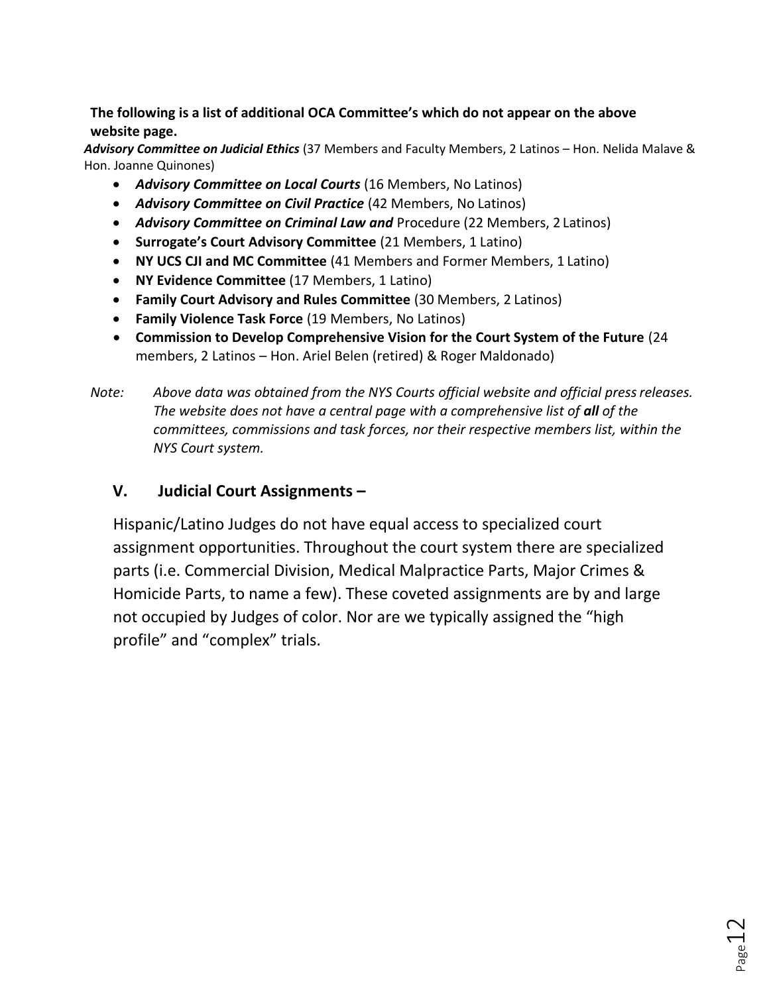### **The following is a list of additional OCA Committee's which do not appear on the above website page.**

*Advisory Committee on Judicial Ethics* (37 Members and Faculty Members, 2 Latinos – Hon. Nelida Malave & Hon. Joanne Quinones)

- *Advisory Committee on Local Courts* (16 Members, No Latinos)
- *Advisory Committee on Civil Practice* (42 Members, No Latinos)
- *Advisory Committee on Criminal Law and* Procedure (22 Members, 2 Latinos)
- **Surrogate's Court Advisory Committee** (21 Members, 1 Latino)
- **NY UCS CJI and MC Committee** (41 Members and Former Members, 1 Latino)
- **NY Evidence Committee** (17 Members, 1 Latino)
- **Family Court Advisory and Rules Committee** (30 Members, 2 Latinos)
- **Family Violence Task Force** (19 Members, No Latinos)
- **Commission to Develop Comprehensive Vision for the Court System of the Future** (24 members, 2 Latinos – Hon. Ariel Belen (retired) & Roger Maldonado)
- *Note: Above data was obtained from the NYS Courts official website and official pressreleases. The website does not have a central page with a comprehensive list of all of the committees, commissions and task forces, nor their respective members list, within the NYS Court system.*

## **V. Judicial Court Assignments –**

Hispanic/Latino Judges do not have equal access to specialized court assignment opportunities. Throughout the court system there are specialized parts (i.e. Commercial Division, Medical Malpractice Parts, Major Crimes & Homicide Parts, to name a few). These coveted assignments are by and large not occupied by Judges of color. Nor are we typically assigned the "high profile" and "complex" trials.